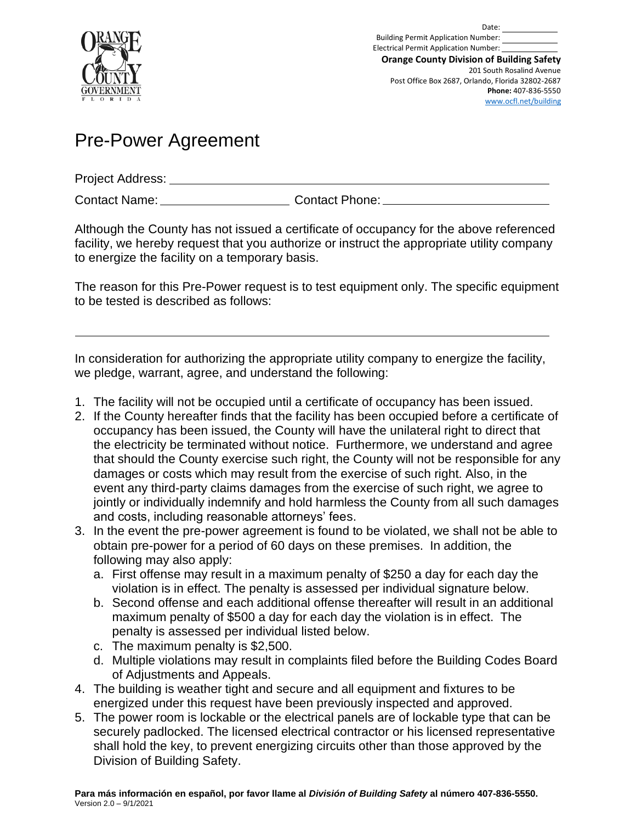

Date: Building Permit Application Number: Electrical Permit Application Number: **Orange County Division of Building Safety** 201 South Rosalind Avenue Post Office Box 2687, Orlando, Florida 32802-2687 **Phone:** 407-836-5550 [www.ocfl.net/building](http://www.ocfl.net/building)

## Pre-Power Agreement

Project Address:

Contact Name: Contact Phone:

Although the County has not issued a certificate of occupancy for the above referenced facility, we hereby request that you authorize or instruct the appropriate utility company to energize the facility on a temporary basis.

The reason for this Pre-Power request is to test equipment only. The specific equipment to be tested is described as follows:

In consideration for authorizing the appropriate utility company to energize the facility, we pledge, warrant, agree, and understand the following:

- 1. The facility will not be occupied until a certificate of occupancy has been issued.
- 2. If the County hereafter finds that the facility has been occupied before a certificate of occupancy has been issued, the County will have the unilateral right to direct that the electricity be terminated without notice. Furthermore, we understand and agree that should the County exercise such right, the County will not be responsible for any damages or costs which may result from the exercise of such right. Also, in the event any third-party claims damages from the exercise of such right, we agree to jointly or individually indemnify and hold harmless the County from all such damages and costs, including reasonable attorneys' fees.
- 3. In the event the pre-power agreement is found to be violated, we shall not be able to obtain pre-power for a period of 60 days on these premises. In addition, the following may also apply:
	- a. First offense may result in a maximum penalty of \$250 a day for each day the violation is in effect. The penalty is assessed per individual signature below.
	- b. Second offense and each additional offense thereafter will result in an additional maximum penalty of \$500 a day for each day the violation is in effect. The penalty is assessed per individual listed below.
	- c. The maximum penalty is \$2,500.
	- d. Multiple violations may result in complaints filed before the Building Codes Board of Adjustments and Appeals.
- 4. The building is weather tight and secure and all equipment and fixtures to be energized under this request have been previously inspected and approved.
- 5. The power room is lockable or the electrical panels are of lockable type that can be securely padlocked. The licensed electrical contractor or his licensed representative shall hold the key, to prevent energizing circuits other than those approved by the Division of Building Safety.